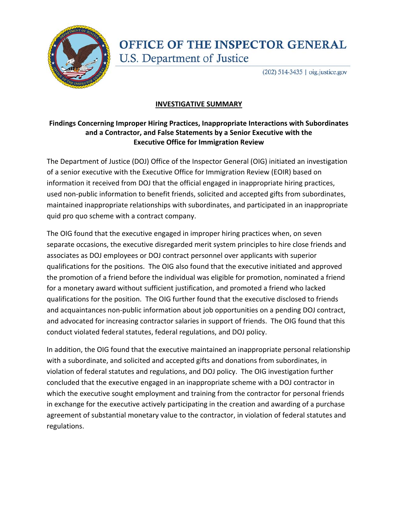

## **OFFICE OF THE INSPECTOR GENERAL** U.S. Department of Justice

(202) 514-3435 | oig.justice.gov

## **INVESTIGATIVE SUMMARY**

## **Findings Concerning Improper Hiring Practices, Inappropriate Interactions with Subordinates and a Contractor, and False Statements by a Senior Executive with the Executive Office for Immigration Review**

 The Department of Justice (DOJ) Office of the Inspector General (OIG) initiated an investigation of a senior executive with the Executive Office for Immigration Review (EOIR) based on information it received from DOJ that the official engaged in inappropriate hiring practices, used non‐public information to benefit friends, solicited and accepted gifts from subordinates, maintained inappropriate relationships with subordinates, and participated in an inappropriate quid pro quo scheme with a contract company.

 The OIG found that the executive engaged in improper hiring practices when, on seven separate occasions, the executive disregarded merit system principles to hire close friends and associates as DOJ employees or DOJ contract personnel over applicants with superior qualifications for the positions. The OIG also found that the executive initiated and approved the promotion of a friend before the individual was eligible for promotion, nominated a friend for a monetary award without sufficient justification, and promoted a friend who lacked qualifications for the position. The OIG further found that the executive disclosed to friends and acquaintances non‐public information about job opportunities on a pending DOJ contract, and advocated for increasing contractor salaries in support of friends. The OIG found that this conduct violated federal statutes, federal regulations, and DOJ policy.

 In addition, the OIG found that the executive maintained an inappropriate personal relationship with a subordinate, and solicited and accepted gifts and donations from subordinates, in violation of federal statutes and regulations, and DOJ policy. The OIG investigation further concluded that the executive engaged in an inappropriate scheme with a DOJ contractor in which the executive sought employment and training from the contractor for personal friends in exchange for the executive actively participating in the creation and awarding of a purchase agreement of substantial monetary value to the contractor, in violation of federal statutes and regulations.